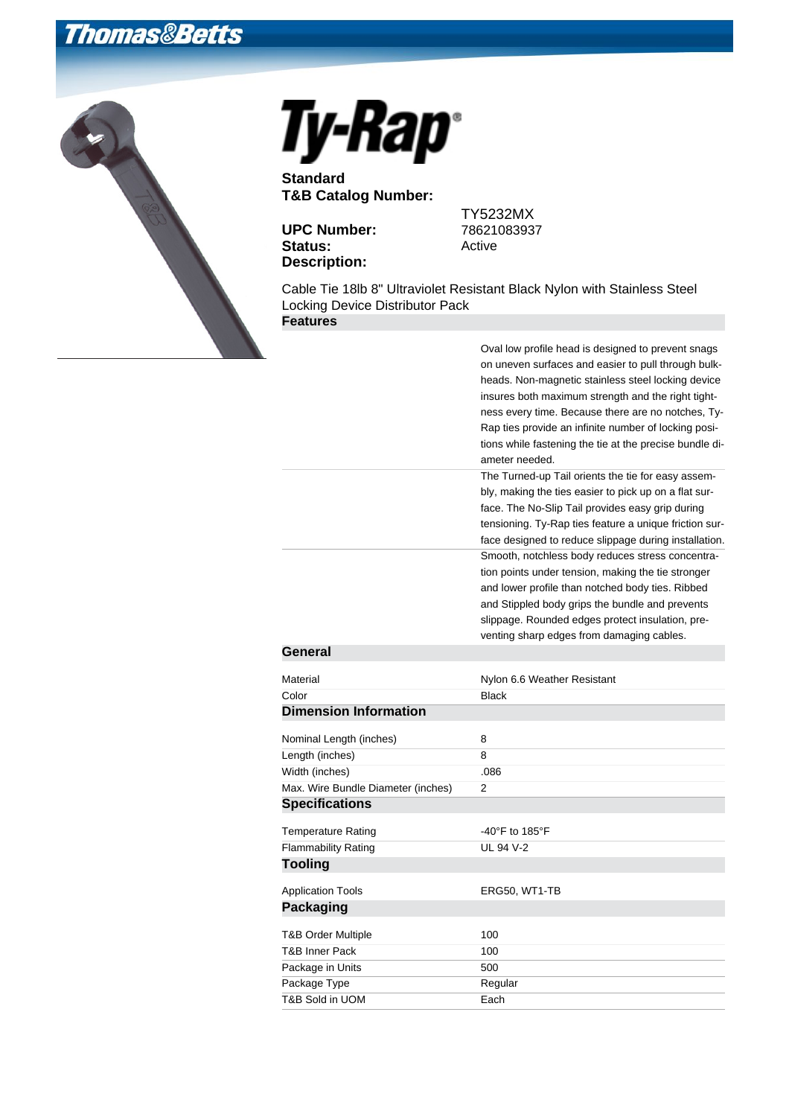## **Thomas&Betts**





**Standard T&B Catalog Number:**

**UPC Number:** 78621083937 Status: Active **Description:**

TY5232MX

Cable Tie 18lb 8" Ultraviolet Resistant Black Nylon with Stainless Steel Locking Device Distributor Pack **Features**

|                                    | Oval low profile head is designed to prevent snags<br>on uneven surfaces and easier to pull through bulk-<br>heads. Non-magnetic stainless steel locking device |
|------------------------------------|-----------------------------------------------------------------------------------------------------------------------------------------------------------------|
|                                    | insures both maximum strength and the right tight-                                                                                                              |
|                                    | ness every time. Because there are no notches, Ty-                                                                                                              |
|                                    | Rap ties provide an infinite number of locking posi-                                                                                                            |
|                                    | tions while fastening the tie at the precise bundle di-                                                                                                         |
|                                    | ameter needed.                                                                                                                                                  |
|                                    | The Turned-up Tail orients the tie for easy assem-                                                                                                              |
|                                    | bly, making the ties easier to pick up on a flat sur-                                                                                                           |
|                                    | face. The No-Slip Tail provides easy grip during                                                                                                                |
|                                    | tensioning. Ty-Rap ties feature a unique friction sur-                                                                                                          |
|                                    | face designed to reduce slippage during installation.<br>Smooth, notchless body reduces stress concentra-                                                       |
|                                    | tion points under tension, making the tie stronger                                                                                                              |
|                                    | and lower profile than notched body ties. Ribbed                                                                                                                |
|                                    | and Stippled body grips the bundle and prevents                                                                                                                 |
|                                    | slippage. Rounded edges protect insulation, pre-                                                                                                                |
|                                    | venting sharp edges from damaging cables.                                                                                                                       |
| General                            |                                                                                                                                                                 |
| Material                           | Nylon 6.6 Weather Resistant                                                                                                                                     |
| Color                              | <b>Black</b>                                                                                                                                                    |
| <b>Dimension Information</b>       |                                                                                                                                                                 |
|                                    |                                                                                                                                                                 |
| Nominal Length (inches)            | 8                                                                                                                                                               |
| Length (inches)                    | 8                                                                                                                                                               |
| Width (inches)                     | .086                                                                                                                                                            |
| Max. Wire Bundle Diameter (inches) | 2                                                                                                                                                               |
| <b>Specifications</b>              |                                                                                                                                                                 |
| <b>Temperature Rating</b>          | -40°F to 185°F                                                                                                                                                  |
| <b>Flammability Rating</b>         | UL 94 V-2                                                                                                                                                       |
| <b>Tooling</b>                     |                                                                                                                                                                 |
| <b>Application Tools</b>           | ERG50, WT1-TB                                                                                                                                                   |
| <b>Packaging</b>                   |                                                                                                                                                                 |
|                                    |                                                                                                                                                                 |
| T&B Order Multiple                 | 100                                                                                                                                                             |
| <b>T&amp;B Inner Pack</b>          | 100                                                                                                                                                             |
| Package in Units                   | 500                                                                                                                                                             |
| Package Type                       | Regular                                                                                                                                                         |
| T&B Sold in UOM                    | Each                                                                                                                                                            |